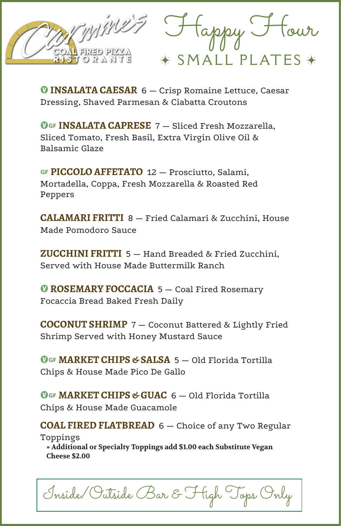

 $\rightarrow$  SMALL PLATES  $\rightarrow$ Happy Hour

*O* INSALATA CAESAR 6 - Crisp Romaine Lettuce, Caesar Dressing, Shaved Parmesan & Ciabatta Croutons

**OGF INSALATA CAPRESE** 7 – Sliced Fresh Mozzarella, Sliced Tomato, Fresh Basil, Extra Virgin Olive Oil & Balsamic Glaze

… **PICCOLO AFFETATO** 12 — Prosciutto, Salami, Mortadella, Coppa, Fresh Mozzarella & Roasted Red Peppers

**CALAMARI FRITTI** 8 — Fried Calamari & Zucchini, House Made Pomodoro Sauce

**ZUCCHINI FRITTI** 5 — Hand Breaded & Fried Zucchini, Served with House Made Buttermilk Ranch

**<sup>O</sup> ROSEMARY FOCCACIA** 5 – Coal Fired Rosemary Focaccia Bread Baked Fresh Daily

**COCONUT SHRIMP** 7 — Coconut Battered & Lightly Fried Shrimp Served with Honey Mustard Sauce

**MGF MARKET CHIPS & SALSA 5 - Old Florida Tortilla** Chips & House Made Pico De Gallo

**OGF MARKET CHIPS & GUAC** 6 – Old Florida Tortilla Chips & House Made Guacamole

**COAL FIRED FLATBREAD** 6 — Choice of any Two Regular Toppings **» Additional or Specialty Toppings add \$1.00 each Substitute Vegan**

**Cheese \$2.00**

Inside/Outside Bar & High Tops Only